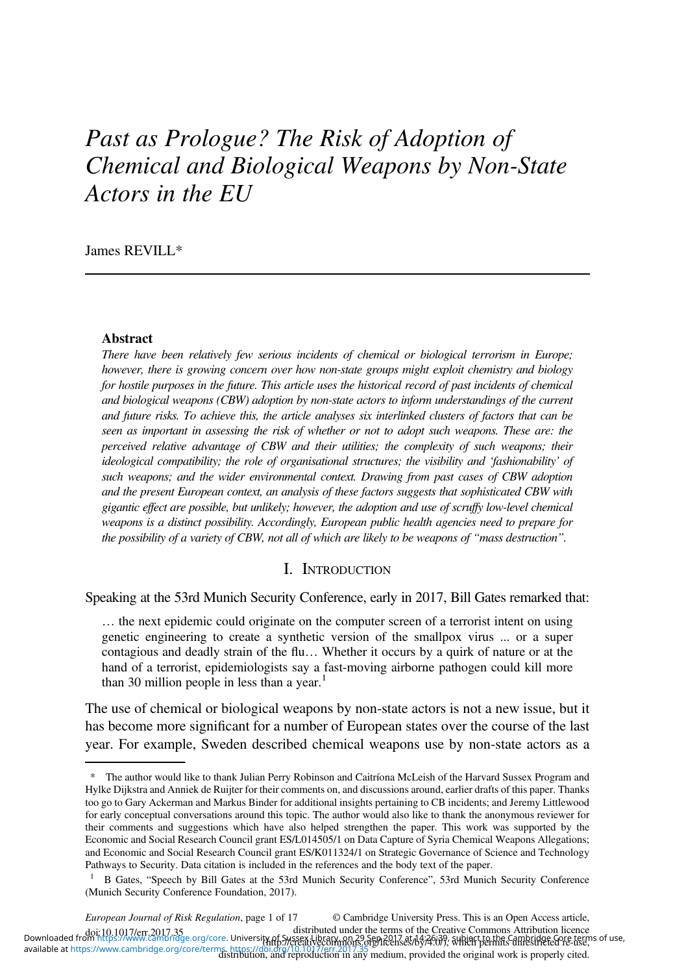# Past as Prologue? The Risk of Adoption of Chemical and Biological Weapons by Non-State Actors in the EU

James REVILL\*

#### Abstract

There have been relatively few serious incidents of chemical or biological terrorism in Europe; however, there is growing concern over how non-state groups might exploit chemistry and biology for hostile purposes in the future. This article uses the historical record of past incidents of chemical and biological weapons (CBW) adoption by non-state actors to inform understandings of the current and future risks. To achieve this, the article analyses six interlinked clusters of factors that can be seen as important in assessing the risk of whether or not to adopt such weapons. These are: the perceived relative advantage of CBW and their utilities; the complexity of such weapons; their ideological compatibility; the role of organisational structures; the visibility and 'fashionability' of such weapons; and the wider environmental context. Drawing from past cases of CBW adoption and the present European context, an analysis of these factors suggests that sophisticated CBW with gigantic effect are possible, but unlikely; however, the adoption and use of scruffy low-level chemical weapons is a distinct possibility. Accordingly, European public health agencies need to prepare for the possibility of a variety of CBW, not all of which are likely to be weapons of "mass destruction".

## I. INTRODUCTION

Speaking at the 53rd Munich Security Conference, early in 2017, Bill Gates remarked that:

… the next epidemic could originate on the computer screen of a terrorist intent on using genetic engineering to create a synthetic version of the smallpox virus ... or a super contagious and deadly strain of the flu… Whether it occurs by a quirk of nature or at the hand of a terrorist, epidemiologists say a fast-moving airborne pathogen could kill more than 30 million people in less than a year.<sup>1</sup>

The use of chemical or biological weapons by non-state actors is not a new issue, but it has become more significant for a number of European states over the course of the last year. For example, Sweden described chemical weapons use by non-state actors as a

<sup>\*</sup> The author would like to thank Julian Perry Robinson and Caitríona McLeish of the Harvard Sussex Program and Hylke Dijkstra and Anniek de Ruijter for their comments on, and discussions around, earlier drafts of this paper. Thanks too go to Gary Ackerman and Markus Binder for additional insights pertaining to CB incidents; and Jeremy Littlewood for early conceptual conversations around this topic. The author would also like to thank the anonymous reviewer for their comments and suggestions which have also helped strengthen the paper. This work was supported by the Economic and Social Research Council grant ES/L014505/1 on Data Capture of Syria Chemical Weapons Allegations; and Economic and Social Research Council grant ES/K011324/1 on Strategic Governance of Science and Technology Pathways to Security. Data citation is included in the references and the body text of the paper.

<sup>1</sup> B Gates, "Speech by Bill Gates at the 53rd Munich Security Conference", 53rd Munich Security Conference (Munich Security Conference Foundation, 2017).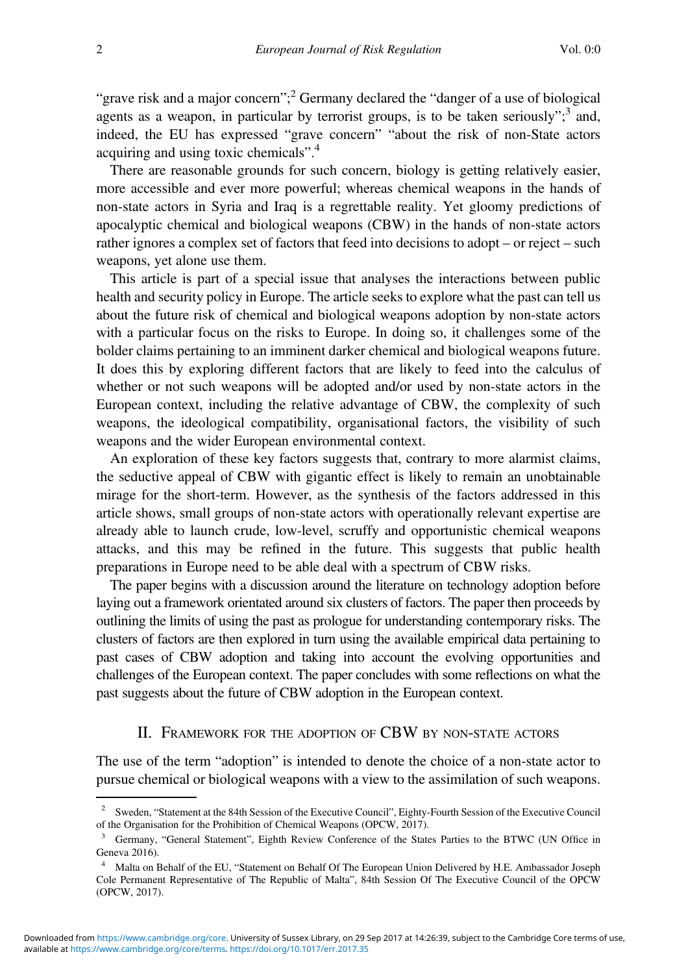"grave risk and a major concern";<sup>2</sup> Germany declared the "danger of a use of biological agents as a weapon, in particular by terrorist groups, is to be taken seriously";<sup>3</sup> and, indeed, the EU has expressed "grave concern" "about the risk of non-State actors acquiring and using toxic chemicals".<sup>4</sup>

There are reasonable grounds for such concern, biology is getting relatively easier, more accessible and ever more powerful; whereas chemical weapons in the hands of non-state actors in Syria and Iraq is a regrettable reality. Yet gloomy predictions of apocalyptic chemical and biological weapons (CBW) in the hands of non-state actors rather ignores a complex set of factors that feed into decisions to adopt – or reject – such weapons, yet alone use them.

This article is part of a special issue that analyses the interactions between public health and security policy in Europe. The article seeks to explore what the past can tell us about the future risk of chemical and biological weapons adoption by non-state actors with a particular focus on the risks to Europe. In doing so, it challenges some of the bolder claims pertaining to an imminent darker chemical and biological weapons future. It does this by exploring different factors that are likely to feed into the calculus of whether or not such weapons will be adopted and/or used by non-state actors in the European context, including the relative advantage of CBW, the complexity of such weapons, the ideological compatibility, organisational factors, the visibility of such weapons and the wider European environmental context.

An exploration of these key factors suggests that, contrary to more alarmist claims, the seductive appeal of CBW with gigantic effect is likely to remain an unobtainable mirage for the short-term. However, as the synthesis of the factors addressed in this article shows, small groups of non-state actors with operationally relevant expertise are already able to launch crude, low-level, scruffy and opportunistic chemical weapons attacks, and this may be refined in the future. This suggests that public health preparations in Europe need to be able deal with a spectrum of CBW risks.

The paper begins with a discussion around the literature on technology adoption before laying out a framework orientated around six clusters of factors. The paper then proceeds by outlining the limits of using the past as prologue for understanding contemporary risks. The clusters of factors are then explored in turn using the available empirical data pertaining to past cases of CBW adoption and taking into account the evolving opportunities and challenges of the European context. The paper concludes with some reflections on what the past suggests about the future of CBW adoption in the European context.

# II. FRAMEWORK FOR THE ADOPTION OF CBW BY NON-STATE ACTORS

The use of the term "adoption" is intended to denote the choice of a non-state actor to pursue chemical or biological weapons with a view to the assimilation of such weapons.

<sup>2</sup> Sweden, "Statement at the 84th Session of the Executive Council", Eighty-Fourth Session of the Executive Council of the Organisation for the Prohibition of Chemical Weapons (OPCW, 2017).

<sup>3</sup> Germany, "General Statement", Eighth Review Conference of the States Parties to the BTWC (UN Office in Geneva 2016).

<sup>4</sup> Malta on Behalf of the EU, "Statement on Behalf Of The European Union Delivered by H.E. Ambassador Joseph Cole Permanent Representative of The Republic of Malta", 84th Session Of The Executive Council of the OPCW (OPCW, 2017).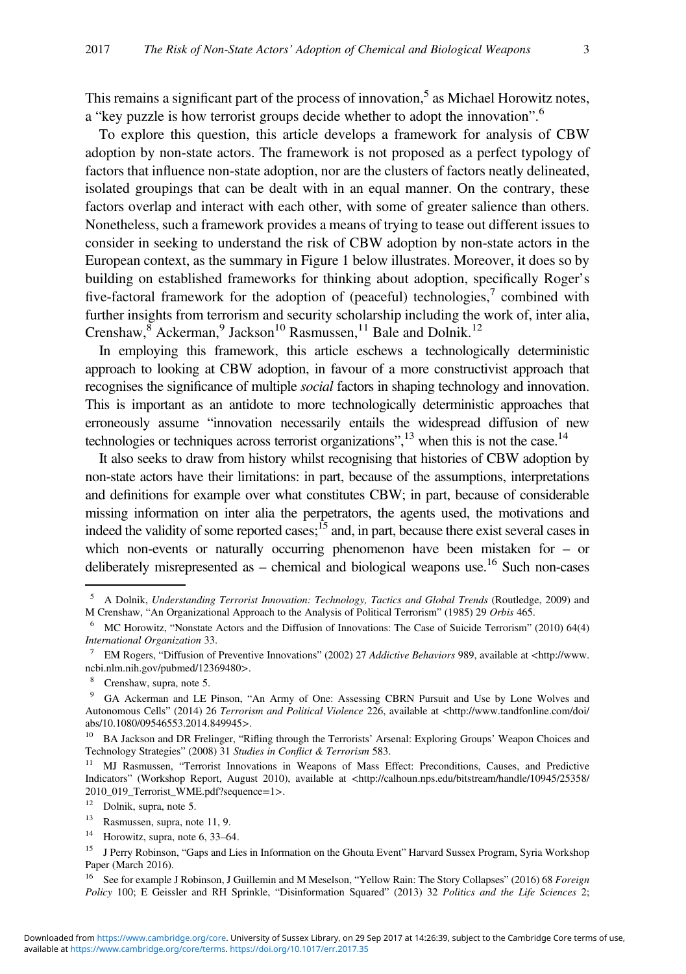This remains a significant part of the process of innovation,<sup>5</sup> as Michael Horowitz notes, a "key puzzle is how terrorist groups decide whether to adopt the innovation".<sup>6</sup>

To explore this question, this article develops a framework for analysis of CBW adoption by non-state actors. The framework is not proposed as a perfect typology of factors that influence non-state adoption, nor are the clusters of factors neatly delineated, isolated groupings that can be dealt with in an equal manner. On the contrary, these factors overlap and interact with each other, with some of greater salience than others. Nonetheless, such a framework provides a means of trying to tease out different issues to consider in seeking to understand the risk of CBW adoption by non-state actors in the European context, as the summary in [Figure 1](#page-3-0) below illustrates. Moreover, it does so by building on established frameworks for thinking about adoption, specifically Roger's five-factoral framework for the adoption of (peaceful) technologies,<sup>7</sup> combined with further insights from terrorism and security scholarship including the work of, inter alia, Crenshaw, $8$  Ackerman,<sup>9</sup> Jackson<sup>10</sup> Rasmussen,<sup>11</sup> Bale and Dolnik.<sup>12</sup>

In employing this framework, this article eschews a technologically deterministic approach to looking at CBW adoption, in favour of a more constructivist approach that recognises the significance of multiple social factors in shaping technology and innovation. This is important as an antidote to more technologically deterministic approaches that erroneously assume "innovation necessarily entails the widespread diffusion of new technologies or techniques across terrorist organizations",<sup>13</sup> when this is not the case.<sup>14</sup>

It also seeks to draw from history whilst recognising that histories of CBW adoption by non-state actors have their limitations: in part, because of the assumptions, interpretations and definitions for example over what constitutes CBW; in part, because of considerable missing information on inter alia the perpetrators, the agents used, the motivations and indeed the validity of some reported cases; $15$  and, in part, because there exist several cases in which non-events or naturally occurring phenomenon have been mistaken for – or deliberately misrepresented as  $-$  chemical and biological weapons use.<sup>16</sup> Such non-cases

<sup>5</sup> A Dolnik, Understanding Terrorist Innovation: Technology, Tactics and Global Trends (Routledge, 2009) and M Crenshaw, "An Organizational Approach to the Analysis of Political Terrorism" (1985) 29 Orbis 465.

<sup>6</sup> MC Horowitz, "Nonstate Actors and the Diffusion of Innovations: The Case of Suicide Terrorism" (2010) 64(4) International Organization 33.

<sup>7</sup> EM Rogers, "Diffusion of Preventive Innovations" (2002) 27 Addictive Behaviors 989, available at <[http://www.](http://www.ncbi.nlm.nih.gov/pubmed/12369480) [ncbi.nlm.nih.gov/pubmed/12369480](http://www.ncbi.nlm.nih.gov/pubmed/12369480)>.

<sup>8</sup> Crenshaw, supra, note 5.

<sup>9</sup> GA Ackerman and LE Pinson, "An Army of One: Assessing CBRN Pursuit and Use by Lone Wolves and Autonomous Cells" (2014) 26 Terrorism and Political Violence 226, available at <[http://www.tandfonline.com/doi/](http://www.tandfonline.com/doi/abs/10.1080�/�09546553.2014.849945) [abs/10.1080/09546553.2014.849945](http://www.tandfonline.com/doi/abs/10.1080�/�09546553.2014.849945)>.

<sup>&</sup>lt;sup>10</sup> BA Jackson and DR Frelinger, "Rifling through the Terrorists' Arsenal: Exploring Groups' Weapon Choices and Technology Strategies" (2008) 31 Studies in Conflict & Terrorism 583.

<sup>&</sup>lt;sup>11</sup> MJ Rasmussen, "Terrorist Innovations in Weapons of Mass Effect: Preconditions, Causes, and Predictive Indicators" (Workshop Report, August 2010), available at <[http://calhoun.nps.edu/bitstream/handle/10945/25358/](http://calhoun.nps.edu/bitstream/handle/10945�/�25358/2010_019_Terrorist_WME.pdf?sequence=1) [2010\\_019\\_Terrorist\\_WME.pdf?sequence](http://calhoun.nps.edu/bitstream/handle/10945�/�25358/2010_019_Terrorist_WME.pdf?sequence=1)=1>.

<sup>12</sup> Dolnik, supra, note 5.

<sup>13</sup> Rasmussen, supra, note 11, 9.

<sup>14</sup> Horowitz, supra, note 6, 33–64.

<sup>&</sup>lt;sup>15</sup> J Perry Robinson, "Gaps and Lies in Information on the Ghouta Event" Harvard Sussex Program, Syria Workshop Paper (March 2016).

<sup>&</sup>lt;sup>16</sup> See for example J Robinson, J Guillemin and M Meselson, "Yellow Rain: The Story Collapses" (2016) 68 Foreign Policy 100; E Geissler and RH Sprinkle, "Disinformation Squared" (2013) 32 Politics and the Life Sciences 2;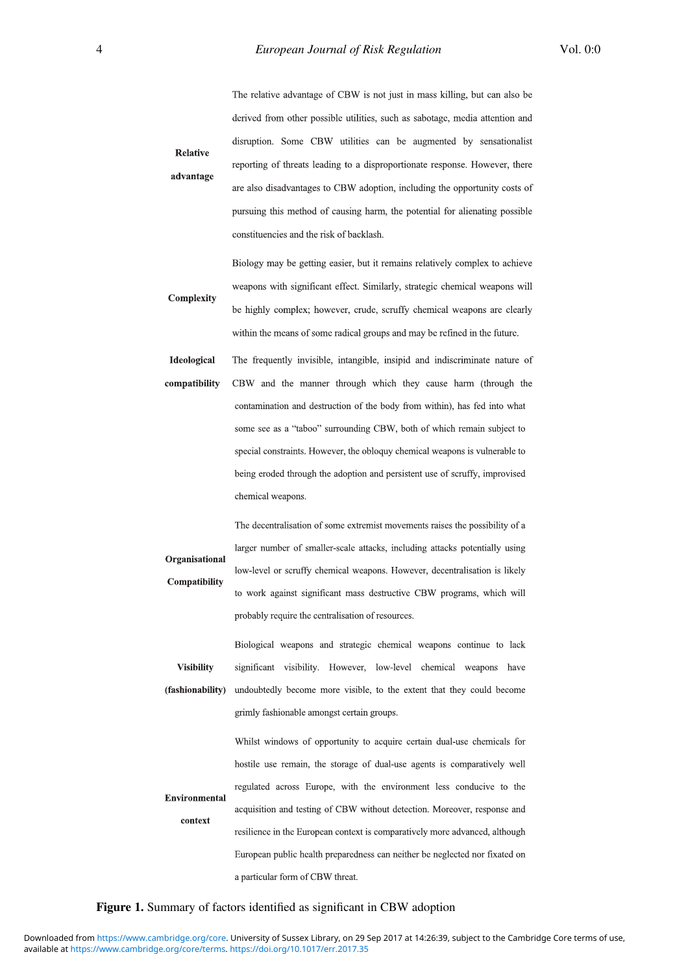<span id="page-3-0"></span>The relative advantage of CBW is not just in mass killing, but can also be derived from other possible utilities, such as sabotage, media attention and disruption. Some CBW utilities can be augmented by sensationalist Relative reporting of threats leading to a disproportionate response. However, there advantage are also disadvantages to CBW adoption, including the opportunity costs of pursuing this method of causing harm, the potential for alienating possible constituencies and the risk of backlash.

Biology may be getting easier, but it remains relatively complex to achieve weapons with significant effect. Similarly, strategic chemical weapons will Complexity be highly complex; however, crude, scruffy chemical weapons are clearly within the means of some radical groups and may be refined in the future.

Ideological The frequently invisible, intangible, insipid and indiscriminate nature of compatibility CBW and the manner through which they cause harm (through the contamination and destruction of the body from within), has fed into what some see as a "taboo" surrounding CBW, both of which remain subject to special constraints. However, the obloquy chemical weapons is vulnerable to being eroded through the adoption and persistent use of scruffy, improvised chemical weapons.

The decentralisation of some extremist movements raises the possibility of a larger number of smaller-scale attacks, including attacks potentially using Organisational low-level or scruffy chemical weapons. However, decentralisation is likely Compatibility to work against significant mass destructive CBW programs, which will probably require the centralisation of resources.

Biological weapons and strategic chemical weapons continue to lack **Visibility** significant visibility. However, low-level chemical weapons have (fashionability) undoubtedly become more visible, to the extent that they could become grimly fashionable amongst certain groups.

Whilst windows of opportunity to acquire certain dual-use chemicals for hostile use remain, the storage of dual-use agents is comparatively well regulated across Europe, with the environment less conducive to the Environmental acquisition and testing of CBW without detection. Moreover, response and context resilience in the European context is comparatively more advanced, although European public health preparedness can neither be neglected nor fixated on a particular form of CBW threat.

#### Figure 1. Summary of factors identified as significant in CBW adoption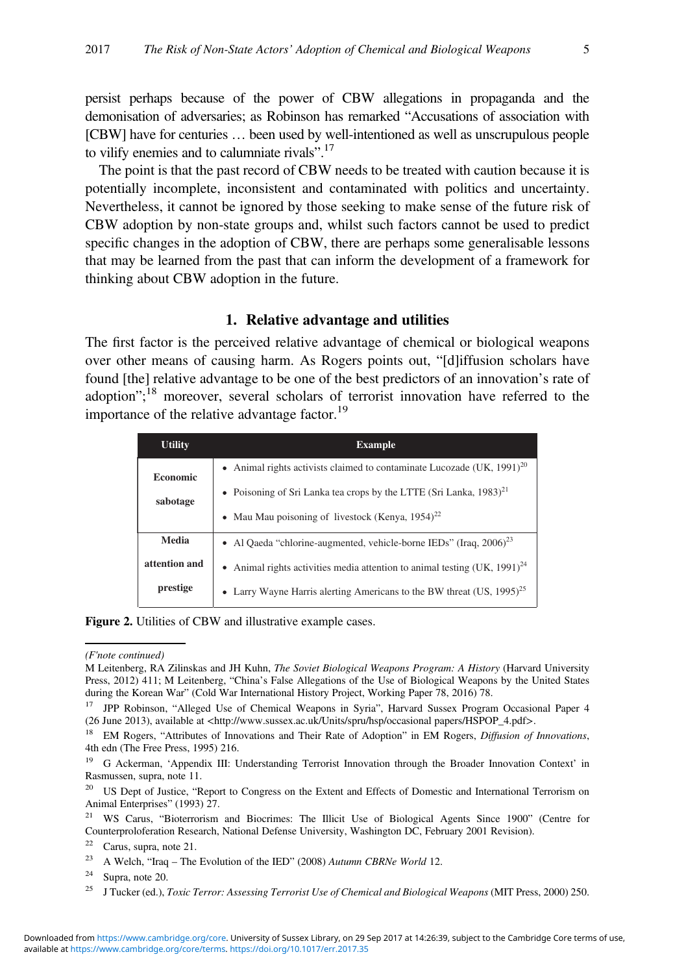<span id="page-4-0"></span>persist perhaps because of the power of CBW allegations in propaganda and the demonisation of adversaries; as Robinson has remarked "Accusations of association with [CBW] have for centuries … been used by well-intentioned as well as unscrupulous people to vilify enemies and to calumniate rivals".<sup>17</sup>

The point is that the past record of CBW needs to be treated with caution because it is potentially incomplete, inconsistent and contaminated with politics and uncertainty. Nevertheless, it cannot be ignored by those seeking to make sense of the future risk of CBW adoption by non-state groups and, whilst such factors cannot be used to predict specific changes in the adoption of CBW, there are perhaps some generalisable lessons that may be learned from the past that can inform the development of a framework for thinking about CBW adoption in the future.

### 1. Relative advantage and utilities

The first factor is the perceived relative advantage of chemical or biological weapons over other means of causing harm. As Rogers points out, "[d]iffusion scholars have found [the] relative advantage to be one of the best predictors of an innovation's rate of adoption";<sup>18</sup> moreover, several scholars of terrorist innovation have referred to the importance of the relative advantage factor.<sup>19</sup>

| <b>Utility</b>  | <b>Example</b>                                                                 |
|-----------------|--------------------------------------------------------------------------------|
| <b>Economic</b> | • Animal rights activists claimed to contaminate Lucozade (UK, $1991)^{20}$    |
| sabotage        | • Poisoning of Sri Lanka tea crops by the LTTE (Sri Lanka, $1983)^{21}$        |
|                 | Mau Mau poisoning of livestock (Kenya, $1954$ ) <sup>22</sup><br>٠             |
| Media           | • Al Qaeda "chlorine-augmented, vehicle-borne IEDs" (Iraq, $2006^{23}$         |
| attention and   | • Animal rights activities media attention to animal testing $(UK, 1991)^{24}$ |
| prestige        | • Larry Wayne Harris alerting Americans to the BW threat $(US, 1995)^{25}$     |

Figure 2. Utilities of CBW and illustrative example cases.

<sup>(</sup>F'note continued)

M Leitenberg, RA Zilinskas and JH Kuhn, The Soviet Biological Weapons Program: A History (Harvard University Press, 2012) 411; M Leitenberg, "China's False Allegations of the Use of Biological Weapons by the United States during the Korean War" (Cold War International History Project, Working Paper 78, 2016) 78.

<sup>&</sup>lt;sup>17</sup> JPP Robinson, "Alleged Use of Chemical Weapons in Syria", Harvard Sussex Program Occasional Paper 4 (26 June 2013), available at <[http://www.sussex.ac.uk/Units/spru/hsp/occasional papers/HSPOP\\_4.pdf](http://www.sussex.ac.uk/Units/spru/hsp/occasional papers/HSPOP_4.pdf)>.

<sup>18</sup> EM Rogers, "Attributes of Innovations and Their Rate of Adoption" in EM Rogers, Diffusion of Innovations, 4th edn (The Free Press, 1995) 216.<br> $^{19}$  G Ackerman, 'Appendix III: I

<sup>19</sup> G Ackerman, 'Appendix III: Understanding Terrorist Innovation through the Broader Innovation Context' in Rasmussen, supra, note 11.

<sup>&</sup>lt;sup>20</sup> US Dept of Justice, "Report to Congress on the Extent and Effects of Domestic and International Terrorism on Animal Enterprises" (1993) 27.

<sup>21</sup> WS Carus, "Bioterrorism and Biocrimes: The Illicit Use of Biological Agents Since 1900" (Centre for Counterproloferation Research, National Defense University, Washington DC, February 2001 Revision).

<sup>22</sup> Carus, supra, note 21.

<sup>&</sup>lt;sup>23</sup> A Welch, "Iraq – The Evolution of the IED" (2008) *Autumn CBRNe World* 12.<br><sup>24</sup> Supra note 20

Supra, note 20.

<sup>&</sup>lt;sup>25</sup> J Tucker (ed.), *Toxic Terror: Assessing Terrorist Use of Chemical and Biological Weapons* (MIT Press, 2000) 250.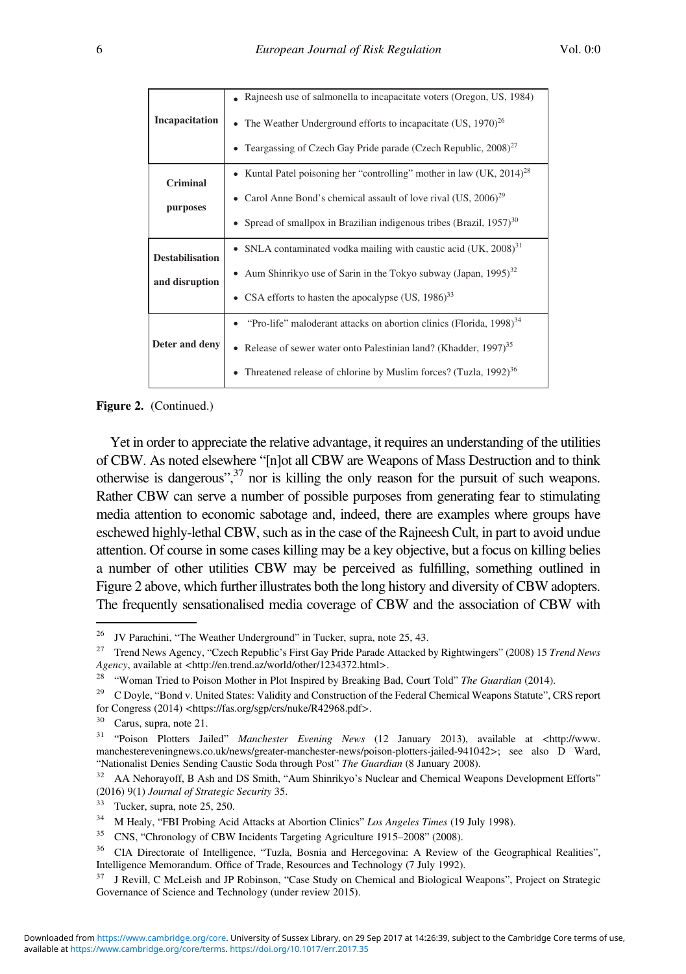|                        | • Rajneesh use of salmonella to incapacitate voters (Oregon, US, 1984)               |
|------------------------|--------------------------------------------------------------------------------------|
| Incapacitation         | • The Weather Underground efforts to incapacitate $(US, 1970)^{26}$                  |
|                        | • Teargassing of Czech Gay Pride parade (Czech Republic, $2008$ ) <sup>27</sup>      |
| <b>Criminal</b>        | • Kuntal Patel poisoning her "controlling" mother in law (UK, $2014$ ) <sup>28</sup> |
| purposes               | • Carol Anne Bond's chemical assault of love rival $(US, 2006)^{29}$                 |
|                        | • Spread of smallpox in Brazilian indigenous tribes (Brazil, $1957$ ) <sup>30</sup>  |
| <b>Destabilisation</b> | • SNLA contaminated vodka mailing with caustic acid $(UK, 2008)^{31}$                |
| and disruption         | • Aum Shinrikyo use of Sarin in the Tokyo subway (Japan, $1995$ ) <sup>32</sup>      |
|                        | • CSA efforts to hasten the apocalypse (US, $1986$ ) <sup>33</sup>                   |
|                        | "Pro-life" maloderant attacks on abortion clinics (Florida, 1998) <sup>34</sup>      |
| Deter and deny         | • Release of sewer water onto Palestinian land? (Khadder, 1997) <sup>35</sup>        |
|                        | Threatened release of chlorine by Muslim forces? (Tuzla, 1992) <sup>36</sup><br>٠    |

Figure 2. (Continued.)

Yet in order to appreciate the relative advantage, it requires an understanding of the utilities of CBW. As noted elsewhere "[n]ot all CBW are Weapons of Mass Destruction and to think otherwise is dangerous",<sup>37</sup> nor is killing the only reason for the pursuit of such weapons. Rather CBW can serve a number of possible purposes from generating fear to stimulating media attention to economic sabotage and, indeed, there are examples where groups have eschewed highly-lethal CBW, such as in the case of the Rajneesh Cult, in part to avoid undue attention. Of course in some cases killing may be a key objective, but a focus on killing belies a number of other utilities CBW may be perceived as fulfilling, something outlined in [Figure 2](#page-4-0) above, which further illustrates both the long history and diversity of CBW adopters. The frequently sensationalised media coverage of CBW and the association of CBW with

<sup>&</sup>lt;sup>26</sup> JV Parachini, "The Weather Underground" in Tucker, supra, note 25, 43.<br><sup>27</sup> Trend Naws Agency, "Czech Penublic's First Gay Pride Parade Attacked.

<sup>27</sup> Trend News Agency, "Czech Republic's First Gay Pride Parade Attacked by Rightwingers" (2008) 15 Trend News Agency, available at <http://en.trend.az/world/other/1234372.html>.

<sup>&</sup>quot;Woman Tried to Poison Mother in Plot Inspired by Breaking Bad, Court Told" The Guardian (2014).

<sup>&</sup>lt;sup>29</sup> C Doyle, "Bond v. United States: Validity and Construction of the Federal Chemical Weapons Statute", CRS report for Congress (2014) <https://fas.org/sgp/crs/nuke/R42968.pdf>.

<sup>30</sup> Carus, supra, note 21.

<sup>&</sup>lt;sup>31</sup> "Poison Plotters Jailed" Manchester Evening News (12 January 2013), available at <http://www. manchestereveningnews.co.uk/news/greater-manchester-news/poison-plotters-jailed-941042>; see also D Ward, "Nationalist Denies Sending Caustic Soda through Post" The Guardian (8 January 2008).

<sup>&</sup>lt;sup>32</sup> AA Nehorayoff, B Ash and DS Smith, "Aum Shinrikyo's Nuclear and Chemical Weapons Development Efforts" (2016) 9(1) Journal of Strategic Security 35.

<sup>33</sup> Tucker, supra, note 25, 250.

<sup>&</sup>lt;sup>34</sup> M Healy, "FBI Probing Acid Attacks at Abortion Clinics" Los Angeles Times (19 July 1998).

<sup>35</sup> CNS, "Chronology of CBW Incidents Targeting Agriculture 1915–2008" (2008).

<sup>&</sup>lt;sup>36</sup> CIA Directorate of Intelligence, "Tuzla, Bosnia and Hercegovina: A Review of the Geographical Realities", Intelligence Memorandum. Office of Trade, Resources and Technology (7 July 1992).

<sup>&</sup>lt;sup>37</sup> J Revill, C McLeish and JP Robinson, "Case Study on Chemical and Biological Weapons", Project on Strategic Governance of Science and Technology (under review 2015).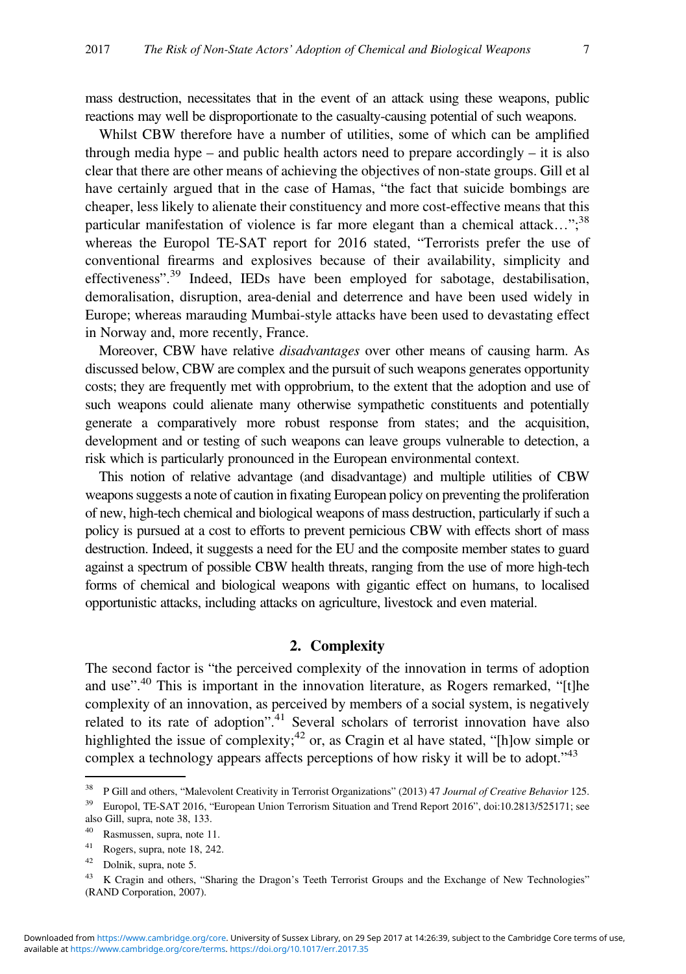mass destruction, necessitates that in the event of an attack using these weapons, public reactions may well be disproportionate to the casualty-causing potential of such weapons.

Whilst CBW therefore have a number of utilities, some of which can be amplified through media hype – and public health actors need to prepare accordingly – it is also clear that there are other means of achieving the objectives of non-state groups. Gill et al have certainly argued that in the case of Hamas, "the fact that suicide bombings are cheaper, less likely to alienate their constituency and more cost-effective means that this particular manifestation of violence is far more elegant than a chemical attack...";<sup>38</sup> whereas the Europol TE-SAT report for 2016 stated, "Terrorists prefer the use of conventional firearms and explosives because of their availability, simplicity and effectiveness".<sup>39</sup> Indeed, IEDs have been employed for sabotage, destabilisation, demoralisation, disruption, area-denial and deterrence and have been used widely in Europe; whereas marauding Mumbai-style attacks have been used to devastating effect in Norway and, more recently, France.

Moreover, CBW have relative *disadvantages* over other means of causing harm. As discussed below, CBW are complex and the pursuit of such weapons generates opportunity costs; they are frequently met with opprobrium, to the extent that the adoption and use of such weapons could alienate many otherwise sympathetic constituents and potentially generate a comparatively more robust response from states; and the acquisition, development and or testing of such weapons can leave groups vulnerable to detection, a risk which is particularly pronounced in the European environmental context.

This notion of relative advantage (and disadvantage) and multiple utilities of CBW weapons suggests a note of caution in fixating European policy on preventing the proliferation of new, high-tech chemical and biological weapons of mass destruction, particularly if such a policy is pursued at a cost to efforts to prevent pernicious CBW with effects short of mass destruction. Indeed, it suggests a need for the EU and the composite member states to guard against a spectrum of possible CBW health threats, ranging from the use of more high-tech forms of chemical and biological weapons with gigantic effect on humans, to localised opportunistic attacks, including attacks on agriculture, livestock and even material.

#### 2. Complexity

The second factor is "the perceived complexity of the innovation in terms of adoption and use".<sup>40</sup> This is important in the innovation literature, as Rogers remarked, "[t]he complexity of an innovation, as perceived by members of a social system, is negatively related to its rate of adoption".<sup>41</sup> Several scholars of terrorist innovation have also highlighted the issue of complexity;<sup>42</sup> or, as Cragin et al have stated, "[h]ow simple or complex a technology appears affects perceptions of how risky it will be to adopt."<sup>43</sup>

<sup>&</sup>lt;sup>38</sup> P Gill and others, "Malevolent Creativity in Terrorist Organizations" (2013) 47 Journal of Creative Behavior 125.

<sup>&</sup>lt;sup>39</sup> Europol, TE-SAT 2016, "European Union Terrorism Situation and Trend Report 2016", doi:10.2813/525171; see also Gill, supra, note 38, 133.

<sup>40</sup> Rasmussen, supra, note 11.

<sup>41</sup> Rogers, supra, note 18, 242.

<sup>42</sup> Dolnik, supra, note 5.

<sup>&</sup>lt;sup>43</sup> K Cragin and others, "Sharing the Dragon's Teeth Terrorist Groups and the Exchange of New Technologies" (RAND Corporation, 2007).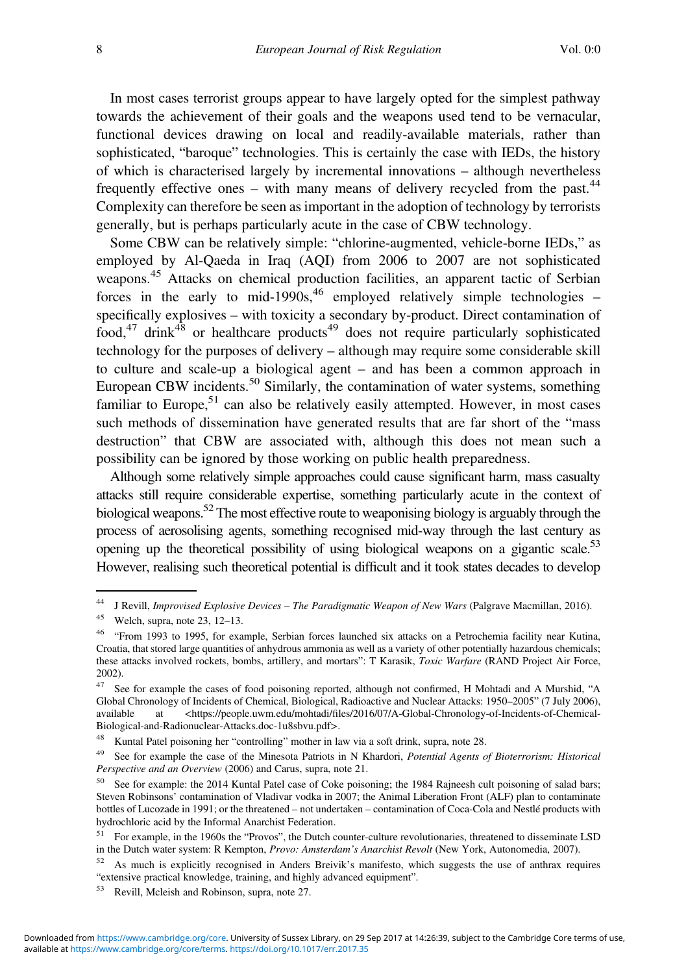In most cases terrorist groups appear to have largely opted for the simplest pathway towards the achievement of their goals and the weapons used tend to be vernacular, functional devices drawing on local and readily-available materials, rather than sophisticated, "baroque" technologies. This is certainly the case with IEDs, the history of which is characterised largely by incremental innovations – although nevertheless frequently effective ones – with many means of delivery recycled from the past.<sup>44</sup> Complexity can therefore be seen as important in the adoption of technology by terrorists generally, but is perhaps particularly acute in the case of CBW technology.

Some CBW can be relatively simple: "chlorine-augmented, vehicle-borne IEDs," as employed by Al-Qaeda in Iraq (AQI) from 2006 to 2007 are not sophisticated weapons.<sup>45</sup> Attacks on chemical production facilities, an apparent tactic of Serbian forces in the early to mid-1990s,<sup>46</sup> employed relatively simple technologies – specifically explosives – with toxicity a secondary by-product. Direct contamination of  $\frac{1}{2}$  food,<sup>47</sup> drink<sup>48</sup> or healthcare products<sup>49</sup> does not require particularly sophisticated technology for the purposes of delivery – although may require some considerable skill to culture and scale-up a biological agent – and has been a common approach in European CBW incidents.<sup>50</sup> Similarly, the contamination of water systems, something familiar to Europe,  $51$  can also be relatively easily attempted. However, in most cases such methods of dissemination have generated results that are far short of the "mass destruction" that CBW are associated with, although this does not mean such a possibility can be ignored by those working on public health preparedness.

Although some relatively simple approaches could cause significant harm, mass casualty attacks still require considerable expertise, something particularly acute in the context of biological weapons.<sup>52</sup> The most effective route to weaponising biology is arguably through the process of aerosolising agents, something recognised mid-way through the last century as opening up the theoretical possibility of using biological weapons on a gigantic scale. $5<sup>3</sup>$ However, realising such theoretical potential is difficult and it took states decades to develop

<sup>&</sup>lt;sup>44</sup> J Revill, *Improvised Explosive Devices – The Paradigmatic Weapon of New Wars* (Palgrave Macmillan, 2016).<br><sup>45</sup> Welch supra note 23, 12–13

Welch, supra, note 23, 12–13.

<sup>46</sup> "From 1993 to 1995, for example, Serbian forces launched six attacks on a Petrochemia facility near Kutina, Croatia, that stored large quantities of anhydrous ammonia as well as a variety of other potentially hazardous chemicals; these attacks involved rockets, bombs, artillery, and mortars": T Karasik, Toxic Warfare (RAND Project Air Force,  $2002$ ).

See for example the cases of food poisoning reported, although not confirmed, H Mohtadi and A Murshid, "A Global Chronology of Incidents of Chemical, Biological, Radioactive and Nuclear Attacks: 1950–2005" (7 July 2006), available at <https://people.uwm.edu/mohtadi/fi[les/2016/07/A-Global-Chronology-of-Incidents-of-Chemical-](https://people.uwm.edu/mohtadi/files/2016�/�07/A-Global-Chronology-of-Incidents-of-Chemical-Biological-and-Radionuclear-Attacks.doc-1u8sbvu.pdf)[Biological-and-Radionuclear-Attacks.doc-1u8sbvu.pdf](https://people.uwm.edu/mohtadi/files/2016�/�07/A-Global-Chronology-of-Incidents-of-Chemical-Biological-and-Radionuclear-Attacks.doc-1u8sbvu.pdf)>.

<sup>48</sup> Kuntal Patel poisoning her "controlling" mother in law via a soft drink, supra, note 28.

<sup>&</sup>lt;sup>49</sup> See for example the case of the Minesota Patriots in N Khardori, Potential Agents of Bioterrorism: Historical Perspective and an Overview (2006) and Carus, supra, note 21.

<sup>&</sup>lt;sup>50</sup> See for example: the 2014 Kuntal Patel case of Coke poisoning; the 1984 Rajneesh cult poisoning of salad bars; Steven Robinsons' contamination of Vladivar vodka in 2007; the Animal Liberation Front (ALF) plan to contaminate bottles of Lucozade in 1991; or the threatened – not undertaken – contamination of Coca-Cola and Nestlé products with hydrochloric acid by the Informal Anarchist Federation.

<sup>&</sup>lt;sup>51</sup> For example, in the 1960s the "Provos", the Dutch counter-culture revolutionaries, threatened to disseminate LSD in the Dutch water system: R Kempton, *Provo: Amsterdam's Anarchist Revolt* (New York, Autonomedia, 2007).<br><sup>52</sup>. As worth in preligity reservoired in Andrea Devicible manifests, which reserves the reserved setting reserves

As much is explicitly recognised in Anders Breivik's manifesto, which suggests the use of anthrax requires "extensive practical knowledge, training, and highly advanced equipment".

<sup>53</sup> Revill, Mcleish and Robinson, supra, note 27.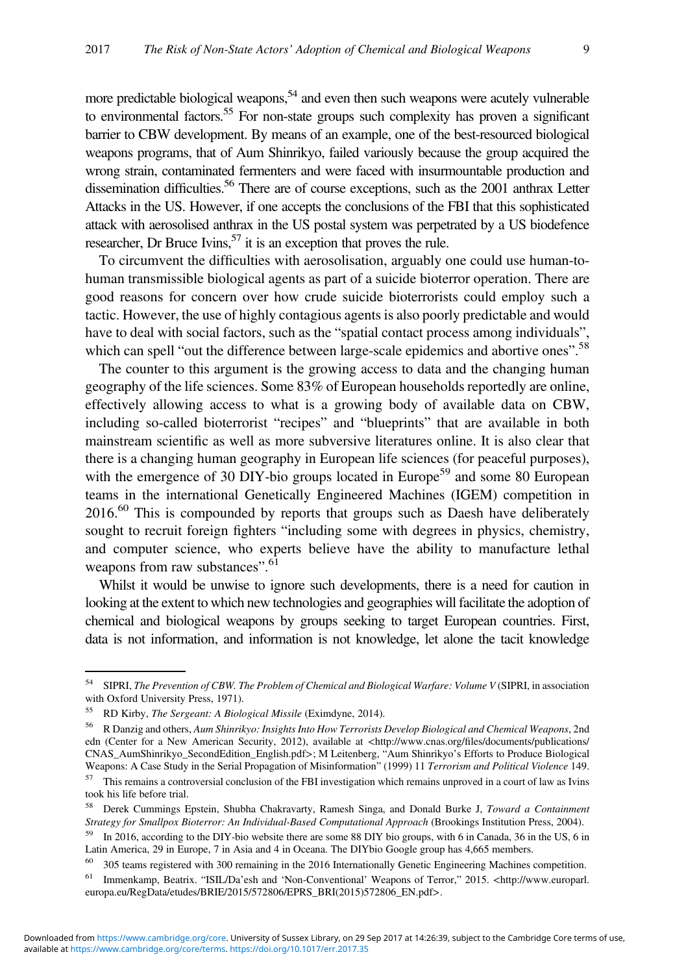more predictable biological weapons,<sup>54</sup> and even then such weapons were acutely vulnerable to environmental factors.<sup>55</sup> For non-state groups such complexity has proven a significant barrier to CBW development. By means of an example, one of the best-resourced biological weapons programs, that of Aum Shinrikyo, failed variously because the group acquired the wrong strain, contaminated fermenters and were faced with insurmountable production and dissemination difficulties.<sup>56</sup> There are of course exceptions, such as the 2001 anthrax Letter Attacks in the US. However, if one accepts the conclusions of the FBI that this sophisticated attack with aerosolised anthrax in the US postal system was perpetrated by a US biodefence researcher, Dr Bruce Ivins,  $57$  it is an exception that proves the rule.

To circumvent the difficulties with aerosolisation, arguably one could use human-tohuman transmissible biological agents as part of a suicide bioterror operation. There are good reasons for concern over how crude suicide bioterrorists could employ such a tactic. However, the use of highly contagious agents is also poorly predictable and would have to deal with social factors, such as the "spatial contact process among individuals", which can spell "out the difference between large-scale epidemics and abortive ones".<sup>58</sup>

The counter to this argument is the growing access to data and the changing human geography of the life sciences. Some 83% of European households reportedly are online, effectively allowing access to what is a growing body of available data on CBW, including so-called bioterrorist "recipes" and "blueprints" that are available in both mainstream scientific as well as more subversive literatures online. It is also clear that there is a changing human geography in European life sciences (for peaceful purposes), with the emergence of 30 DIY-bio groups located in Europe<sup>59</sup> and some 80 European teams in the international Genetically Engineered Machines (IGEM) competition in 2016.<sup>60</sup> This is compounded by reports that groups such as Daesh have deliberately sought to recruit foreign fighters "including some with degrees in physics, chemistry, and computer science, who experts believe have the ability to manufacture lethal weapons from raw substances".<sup>61</sup>

Whilst it would be unwise to ignore such developments, there is a need for caution in looking at the extent to which new technologies and geographies will facilitate the adoption of chemical and biological weapons by groups seeking to target European countries. First, data is not information, and information is not knowledge, let alone the tacit knowledge

<sup>&</sup>lt;sup>54</sup> SIPRI, The Prevention of CBW. The Problem of Chemical and Biological Warfare: Volume V (SIPRI, in association with Oxford University Press, 1971).

<sup>55</sup> RD Kirby, The Sergeant: A Biological Missile (Eximdyne, 2014).

<sup>&</sup>lt;sup>56</sup> R Danzig and others, Aum Shinrikyo: Insights Into How Terrorists Develop Biological and Chemical Weapons, 2nd edn (Center for a New American Security, 2012), available at <http://www.cnas.org/fi[les/documents/publications/](http://www.cnas.org/files/documents/publications/CNAS_AumShinrikyo_SecondEdition_English.pdf) [CNAS\\_AumShinrikyo\\_SecondEdition\\_English.pdf](http://www.cnas.org/files/documents/publications/CNAS_AumShinrikyo_SecondEdition_English.pdf)>; M Leitenberg, "Aum Shinrikyo's Efforts to Produce Biological Weapons: A Case Study in the Serial Propagation of Misinformation" (1999) 11 Terrorism and Political Violence 149.

 $57$  This remains a controversial conclusion of the FBI investigation which remains unproved in a court of law as Ivins took his life before trial.

<sup>&</sup>lt;sup>58</sup> Derek Cummings Epstein, Shubha Chakravarty, Ramesh Singa, and Donald Burke J, *Toward a Containment* Strategy for Smallpox Bioterror: An Individual-Based Computational Approach (Brookings Institution Press, 2004).

<sup>&</sup>lt;sup>59</sup> In 2016, according to the DIY-bio website there are some 88 DIY bio groups, with 6 in Canada, 36 in the US, 6 in Latin America, 29 in Europe, 7 in Asia and 4 in Oceana. The DIYbio Google group has 4,665 members.

<sup>60</sup> 305 teams registered with 300 remaining in the 2016 Internationally Genetic Engineering Machines competition. <sup>61</sup> Immenkamp, Beatrix. "ISIL/Da'esh and 'Non-Conventional' Weapons of Terror," 2015. <[http://www.europarl.](http://www.europarl.europa.eu/RegData/etudes/BRIE/2015�/�572806/EPRS_BRI(2015)572806_EN.pdf) [europa.eu/RegData/etudes/BRIE/2015/572806/EPRS\\_BRI\(2015\)572806\\_EN.pdf](http://www.europarl.europa.eu/RegData/etudes/BRIE/2015�/�572806/EPRS_BRI(2015)572806_EN.pdf)>.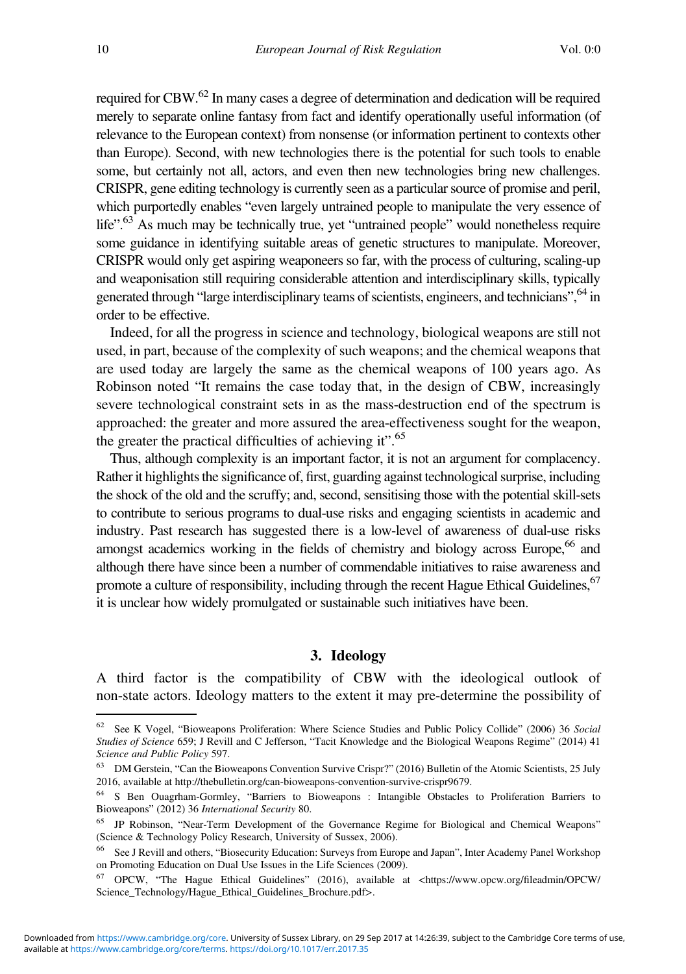required for CBW.<sup>62</sup> In many cases a degree of determination and dedication will be required merely to separate online fantasy from fact and identify operationally useful information (of relevance to the European context) from nonsense (or information pertinent to contexts other than Europe). Second, with new technologies there is the potential for such tools to enable some, but certainly not all, actors, and even then new technologies bring new challenges. CRISPR, gene editing technology is currently seen as a particular source of promise and peril, which purportedly enables "even largely untrained people to manipulate the very essence of life".<sup>63</sup> As much may be technically true, yet "untrained people" would nonetheless require some guidance in identifying suitable areas of genetic structures to manipulate. Moreover, CRISPR would only get aspiring weaponeers so far, with the process of culturing, scaling-up and weaponisation still requiring considerable attention and interdisciplinary skills, typically generated through "large interdisciplinary teams of scientists, engineers, and technicians", <sup>64</sup> in order to be effective.

Indeed, for all the progress in science and technology, biological weapons are still not used, in part, because of the complexity of such weapons; and the chemical weapons that are used today are largely the same as the chemical weapons of 100 years ago. As Robinson noted "It remains the case today that, in the design of CBW, increasingly severe technological constraint sets in as the mass-destruction end of the spectrum is approached: the greater and more assured the area-effectiveness sought for the weapon, the greater the practical difficulties of achieving it".<sup>65</sup>

Thus, although complexity is an important factor, it is not an argument for complacency. Rather it highlights the significance of, first, guarding against technological surprise, including the shock of the old and the scruffy; and, second, sensitising those with the potential skill-sets to contribute to serious programs to dual-use risks and engaging scientists in academic and industry. Past research has suggested there is a low-level of awareness of dual-use risks amongst academics working in the fields of chemistry and biology across Europe,<sup>66</sup> and although there have since been a number of commendable initiatives to raise awareness and promote a culture of responsibility, including through the recent Hague Ethical Guidelines, <sup>67</sup> it is unclear how widely promulgated or sustainable such initiatives have been.

#### 3. Ideology

A third factor is the compatibility of CBW with the ideological outlook of non-state actors. Ideology matters to the extent it may pre-determine the possibility of

<sup>&</sup>lt;sup>62</sup> See K Vogel, "Bioweapons Proliferation: Where Science Studies and Public Policy Collide" (2006) 36 Social Studies of Science 659; J Revill and C Jefferson, "Tacit Knowledge and the Biological Weapons Regime" (2014) 41 Science and Public Policy 597.

<sup>63</sup> DM Gerstein, "Can the Bioweapons Convention Survive Crispr?" (2016) Bulletin of the Atomic Scientists, 25 July 2016, available at [http://thebulletin.org/can-bioweapons-convention-survive-crispr9679.](http://thebulletin.org/can-bioweapons-convention-survive-crispr9679)

<sup>64</sup> S Ben Ouagrham-Gormley, "Barriers to Bioweapons : Intangible Obstacles to Proliferation Barriers to Bioweapons" (2012) 36 International Security 80.

<sup>65</sup> JP Robinson, "Near-Term Development of the Governance Regime for Biological and Chemical Weapons" (Science & Technology Policy Research, University of Sussex, 2006).

<sup>66</sup> See J Revill and others, "Biosecurity Education: Surveys from Europe and Japan", Inter Academy Panel Workshop on Promoting Education on Dual Use Issues in the Life Sciences (2009).

<sup>67</sup> OPCW, "The Hague Ethical Guidelines" (2016), available at <[https://www.opcw.org/](https://www.opcw.org/fileadmin/OPCW/Science_Technology/Hague_Ethical_Guidelines_Brochure.pdf)fileadmin/OPCW/ [Science\\_Technology/Hague\\_Ethical\\_Guidelines\\_Brochure.pdf](https://www.opcw.org/fileadmin/OPCW/Science_Technology/Hague_Ethical_Guidelines_Brochure.pdf)>.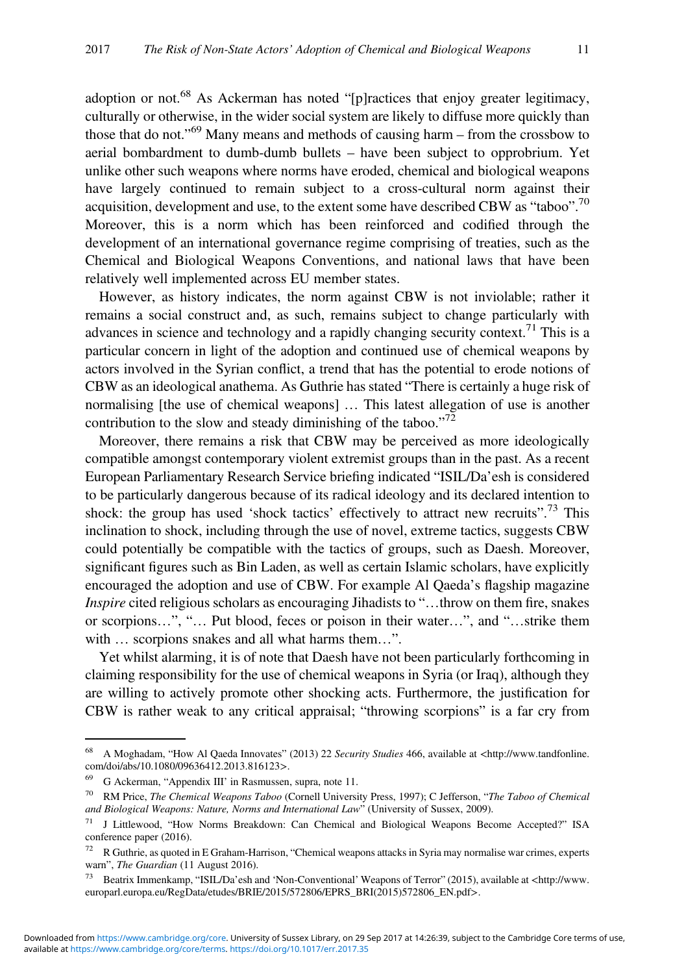adoption or not.<sup>68</sup> As Ackerman has noted "[p]ractices that enjoy greater legitimacy, culturally or otherwise, in the wider social system are likely to diffuse more quickly than those that do not."<sup>69</sup> Many means and methods of causing harm – from the crossbow to aerial bombardment to dumb-dumb bullets – have been subject to opprobrium. Yet unlike other such weapons where norms have eroded, chemical and biological weapons have largely continued to remain subject to a cross-cultural norm against their acquisition, development and use, to the extent some have described CBW as "taboo".<sup>70</sup> Moreover, this is a norm which has been reinforced and codified through the development of an international governance regime comprising of treaties, such as the Chemical and Biological Weapons Conventions, and national laws that have been relatively well implemented across EU member states.

However, as history indicates, the norm against CBW is not inviolable; rather it remains a social construct and, as such, remains subject to change particularly with advances in science and technology and a rapidly changing security context.<sup>71</sup> This is a particular concern in light of the adoption and continued use of chemical weapons by actors involved in the Syrian conflict, a trend that has the potential to erode notions of CBW as an ideological anathema. As Guthrie has stated "There is certainly a huge risk of normalising [the use of chemical weapons] … This latest allegation of use is another contribution to the slow and steady diminishing of the taboo."<sup>72</sup>

Moreover, there remains a risk that CBW may be perceived as more ideologically compatible amongst contemporary violent extremist groups than in the past. As a recent European Parliamentary Research Service briefing indicated "ISIL/Da'esh is considered to be particularly dangerous because of its radical ideology and its declared intention to shock: the group has used 'shock tactics' effectively to attract new recruits".<sup>73</sup> This inclination to shock, including through the use of novel, extreme tactics, suggests CBW could potentially be compatible with the tactics of groups, such as Daesh. Moreover, significant figures such as Bin Laden, as well as certain Islamic scholars, have explicitly encouraged the adoption and use of CBW. For example Al Qaeda's flagship magazine Inspire cited religious scholars as encouraging Jihadists to "…throw on them fire, snakes or scorpions…", "… Put blood, feces or poison in their water…", and "…strike them with ... scorpions snakes and all what harms them...".

Yet whilst alarming, it is of note that Daesh have not been particularly forthcoming in claiming responsibility for the use of chemical weapons in Syria (or Iraq), although they are willing to actively promote other shocking acts. Furthermore, the justification for CBW is rather weak to any critical appraisal; "throwing scorpions" is a far cry from

<sup>68</sup> A Moghadam, "How Al Qaeda Innovates" (2013) 22 Security Studies 466, available at <[http://www.tandfonline.](http://www.tandfonline.com/doi/abs/10.1080�/�09636412.2013.816123) [com/doi/abs/10.1080/09636412.2013.816123](http://www.tandfonline.com/doi/abs/10.1080�/�09636412.2013.816123)>.

<sup>69</sup> G Ackerman, "Appendix III' in Rasmussen, supra, note 11.

<sup>&</sup>lt;sup>70</sup> RM Price, *The Chemical Weapons Taboo* (Cornell University Press, 1997); C Jefferson, "The Taboo of Chemical and Biological Weapons: Nature, Norms and International Law" (University of Sussex, 2009).

<sup>71</sup> J Littlewood, "How Norms Breakdown: Can Chemical and Biological Weapons Become Accepted?" ISA conference paper (2016).

 $72$  R Guthrie, as quoted in E Graham-Harrison, "Chemical weapons attacks in Syria may normalise war crimes, experts warn", The Guardian (11 August 2016).

<sup>&</sup>lt;sup>73</sup> Beatrix Immenkamp, "ISIL/Da'esh and 'Non-Conventional' Weapons of Terror" (2015), available at  $\lt$ [http://www.](http://www.europarl.europa.eu/RegData/etudes/BRIE/2015�/�572806/EPRS_BRI(2015)572806_EN.pdf) [europarl.europa.eu/RegData/etudes/BRIE/2015/572806/EPRS\\_BRI\(2015\)572806\\_EN.pdf](http://www.europarl.europa.eu/RegData/etudes/BRIE/2015�/�572806/EPRS_BRI(2015)572806_EN.pdf)>.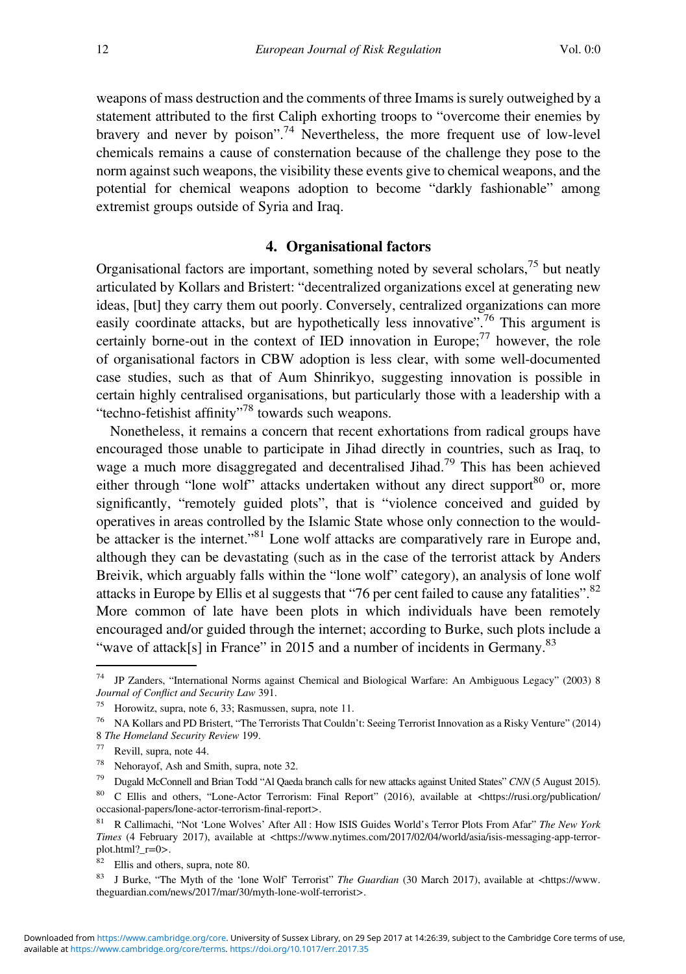weapons of mass destruction and the comments of three Imams is surely outweighed by a statement attributed to the first Caliph exhorting troops to "overcome their enemies by bravery and never by poison".<sup>74</sup> Nevertheless, the more frequent use of low-level chemicals remains a cause of consternation because of the challenge they pose to the norm against such weapons, the visibility these events give to chemical weapons, and the potential for chemical weapons adoption to become "darkly fashionable" among extremist groups outside of Syria and Iraq.

### 4. Organisational factors

Organisational factors are important, something noted by several scholars, $^{75}$  but neatly articulated by Kollars and Bristert: "decentralized organizations excel at generating new ideas, [but] they carry them out poorly. Conversely, centralized organizations can more easily coordinate attacks, but are hypothetically less innovative".<sup>76</sup> This argument is certainly borne-out in the context of IED innovation in Europe;<sup>77</sup> however, the role of organisational factors in CBW adoption is less clear, with some well-documented case studies, such as that of Aum Shinrikyo, suggesting innovation is possible in certain highly centralised organisations, but particularly those with a leadership with a "techno-fetishist affinity"<sup>78</sup> towards such weapons.

Nonetheless, it remains a concern that recent exhortations from radical groups have encouraged those unable to participate in Jihad directly in countries, such as Iraq, to wage a much more disaggregated and decentralised Jihad.<sup>79</sup> This has been achieved either through "lone wolf" attacks undertaken without any direct support  $80^{\circ}$  or, more significantly, "remotely guided plots", that is "violence conceived and guided by operatives in areas controlled by the Islamic State whose only connection to the wouldbe attacker is the internet."<sup>81</sup> Lone wolf attacks are comparatively rare in Europe and, although they can be devastating (such as in the case of the terrorist attack by Anders Breivik, which arguably falls within the "lone wolf" category), an analysis of lone wolf attacks in Europe by Ellis et al suggests that "76 per cent failed to cause any fatalities".<sup>82</sup> More common of late have been plots in which individuals have been remotely encouraged and/or guided through the internet; according to Burke, such plots include a "wave of attack[s] in France" in 2015 and a number of incidents in Germany.<sup>83</sup>

<sup>74</sup> JP Zanders, "International Norms against Chemical and Biological Warfare: An Ambiguous Legacy" (2003) 8 Journal of Conflict and Security Law 391.

<sup>75</sup> Horowitz, supra, note 6, 33; Rasmussen, supra, note 11.

<sup>76</sup> NA Kollars and PD Bristert, "The Terrorists That Couldn't: Seeing Terrorist Innovation as a Risky Venture" (2014) 8 The Homeland Security Review 199.

<sup>77</sup> Revill, supra, note 44.

<sup>78</sup> Nehorayof, Ash and Smith, supra, note 32.

<sup>79</sup> Dugald McConnell and Brian Todd "Al Qaeda branch calls for new attacks against United States" CNN (5 August 2015).

<sup>80</sup> C Ellis and others, "Lone-Actor Terrorism: Final Report" (2016), available at <[https://rusi.org/publication/](https://rusi.org/publication/occasional-papers/lone-actor-terrorism-final-report) [occasional-papers/lone-actor-terrorism-](https://rusi.org/publication/occasional-papers/lone-actor-terrorism-final-report)final-report>.

<sup>81</sup> R Callimachi, "Not 'Lone Wolves' After All : How ISIS Guides World's Terror Plots From Afar" The New York Times (4 February 2017), available at <[https://www.nytimes.com/2017/02/04/world/asia/isis-messaging-app-terror](https://www.nytimes.com/2017�/�02/04/world/asia/isis-messaging-app-terror-plot.html?_r=0)plot.html? $r=0$ >.

Ellis and others, supra, note 80.

<sup>&</sup>lt;sup>83</sup> J Burke, "The Myth of the 'lone Wolf' Terrorist" The Guardian (30 March 2017), available at <[https://www.](https://www.theguardian.com/news/2017/mar/30/myth-lone-wolf-terrorist) [theguardian.com/news/2017/mar/30/myth-lone-wolf-terrorist](https://www.theguardian.com/news/2017/mar/30/myth-lone-wolf-terrorist)>.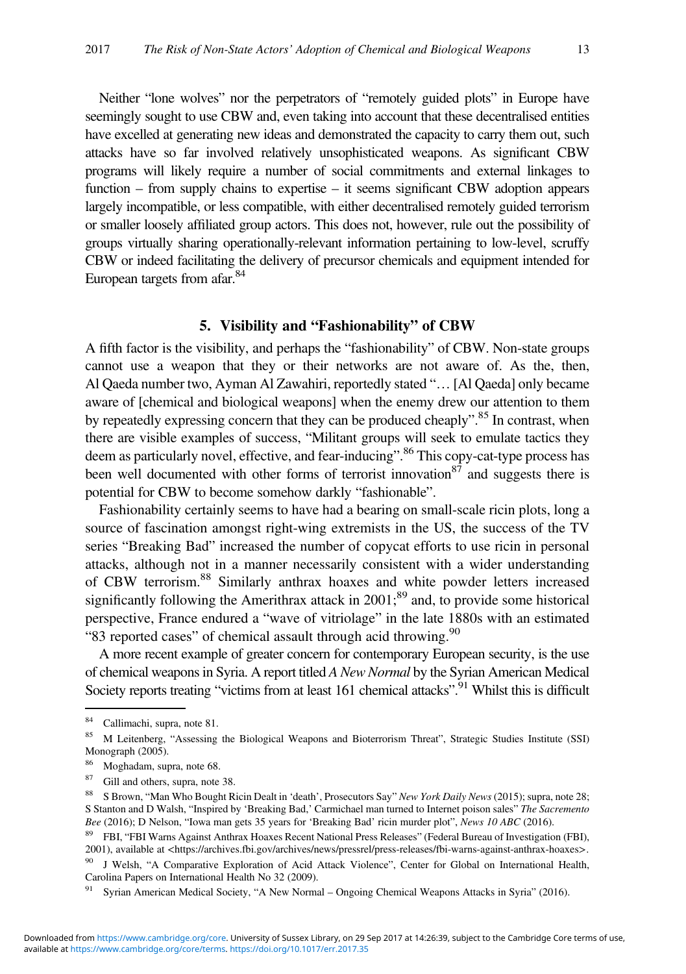Neither "lone wolves" nor the perpetrators of "remotely guided plots" in Europe have seemingly sought to use CBW and, even taking into account that these decentralised entities have excelled at generating new ideas and demonstrated the capacity to carry them out, such attacks have so far involved relatively unsophisticated weapons. As significant CBW programs will likely require a number of social commitments and external linkages to function – from supply chains to expertise – it seems significant CBW adoption appears largely incompatible, or less compatible, with either decentralised remotely guided terrorism or smaller loosely affiliated group actors. This does not, however, rule out the possibility of groups virtually sharing operationally-relevant information pertaining to low-level, scruffy CBW or indeed facilitating the delivery of precursor chemicals and equipment intended for European targets from afar.<sup>84</sup>

# 5. Visibility and "Fashionability" of CBW

A fifth factor is the visibility, and perhaps the "fashionability" of CBW. Non-state groups cannot use a weapon that they or their networks are not aware of. As the, then, Al Qaeda number two, Ayman Al Zawahiri, reportedly stated "… [Al Qaeda] only became aware of [chemical and biological weapons] when the enemy drew our attention to them by repeatedly expressing concern that they can be produced cheaply".<sup>85</sup> In contrast, when there are visible examples of success, "Militant groups will seek to emulate tactics they deem as particularly novel, effective, and fear-inducing". <sup>86</sup> This copy-cat-type process has been well documented with other forms of terrorist innovation<sup>87</sup> and suggests there is potential for CBW to become somehow darkly "fashionable".

Fashionability certainly seems to have had a bearing on small-scale ricin plots, long a source of fascination amongst right-wing extremists in the US, the success of the TV series "Breaking Bad" increased the number of copycat efforts to use ricin in personal attacks, although not in a manner necessarily consistent with a wider understanding of CBW terrorism.88 Similarly anthrax hoaxes and white powder letters increased significantly following the Amerithrax attack in  $2001$ ;<sup>89</sup> and, to provide some historical perspective, France endured a "wave of vitriolage" in the late 1880s with an estimated "83 reported cases" of chemical assault through acid throwing. $90$ 

A more recent example of greater concern for contemporary European security, is the use of chemical weapons in Syria. A report titled A New Normal by the Syrian American Medical Society reports treating "victims from at least 161 chemical attacks".<sup>91</sup> Whilst this is difficult

<sup>84</sup> Callimachi, supra, note 81.

<sup>85</sup> M Leitenberg, "Assessing the Biological Weapons and Bioterrorism Threat", Strategic Studies Institute (SSI) Monograph (2005).

 $\frac{86}{87}$  Moghadam, supra, note 68.

Gill and others, supra, note 38.

<sup>&</sup>lt;sup>88</sup> S Brown, "Man Who Bought Ricin Dealt in 'death', Prosecutors Say" New York Daily News (2015); supra, note 28; S Stanton and D Walsh, "Inspired by 'Breaking Bad,' Carmichael man turned to Internet poison sales" The Sacremento Bee (2016); D Nelson, "Iowa man gets 35 years for 'Breaking Bad' ricin murder plot", News 10 ABC (2016).

<sup>89</sup> FBI, "FBI Warns Against Anthrax Hoaxes Recent National Press Releases" (Federal Bureau of Investigation (FBI), 2001), available at <<https://archives.fbi.gov/archives/news/pressrel/press-releases/fbi-warns-against-anthrax-hoaxes>>.

<sup>90</sup> J Welsh, "A Comparative Exploration of Acid Attack Violence", Center for Global on International Health, Carolina Papers on International Health No 32 (2009).

<sup>91</sup> Syrian American Medical Society, "A New Normal – Ongoing Chemical Weapons Attacks in Syria" (2016).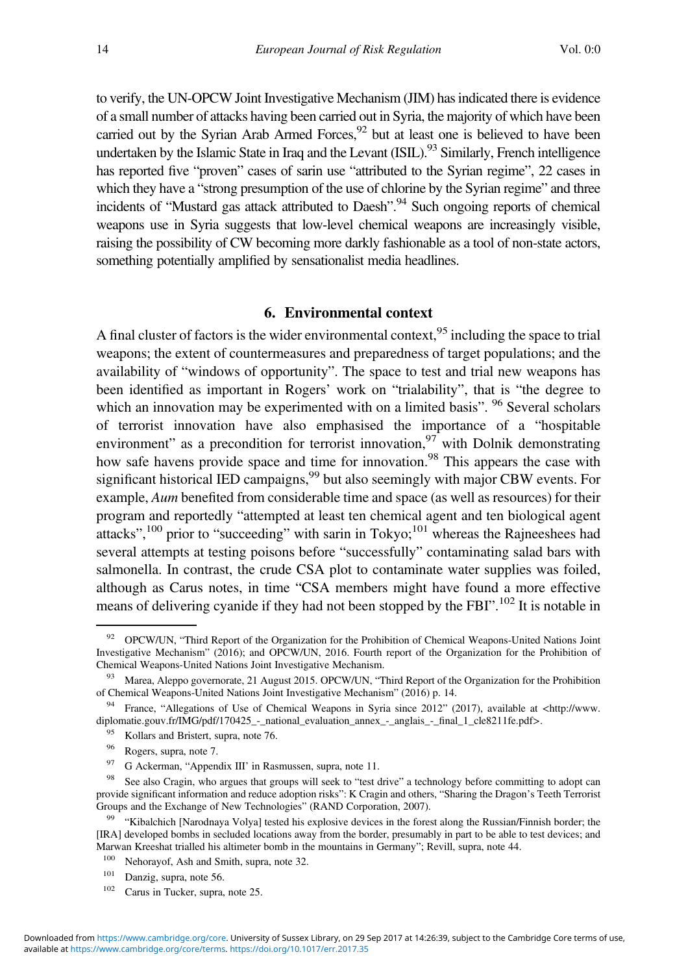to verify, the UN-OPCW Joint Investigative Mechanism (JIM) has indicated there is evidence of a small number of attacks having been carried out in Syria, the majority of which have been carried out by the Syrian Arab Armed Forces,<sup>92</sup> but at least one is believed to have been undertaken by the Islamic State in Iraq and the Levant  $(ISIL)$ .<sup>93</sup> Similarly, French intelligence has reported five "proven" cases of sarin use "attributed to the Syrian regime", 22 cases in which they have a "strong presumption of the use of chlorine by the Syrian regime" and three incidents of "Mustard gas attack attributed to Daesh".<sup>94</sup> Such ongoing reports of chemical weapons use in Syria suggests that low-level chemical weapons are increasingly visible, raising the possibility of CW becoming more darkly fashionable as a tool of non-state actors, something potentially amplified by sensationalist media headlines.

#### 6. Environmental context

A final cluster of factors is the wider environmental context,<sup>95</sup> including the space to trial weapons; the extent of countermeasures and preparedness of target populations; and the availability of "windows of opportunity". The space to test and trial new weapons has been identified as important in Rogers' work on "trialability", that is "the degree to which an innovation may be experimented with on a limited basis". <sup>96</sup> Several scholars of terrorist innovation have also emphasised the importance of a "hospitable environment" as a precondition for terrorist innovation,  $97$  with Dolnik demonstrating how safe havens provide space and time for innovation.<sup>98</sup> This appears the case with significant historical IED campaigns,<sup>99</sup> but also seemingly with major CBW events. For example, Aum benefited from considerable time and space (as well as resources) for their program and reportedly "attempted at least ten chemical agent and ten biological agent attacks",  $100$  prior to "succeeding" with sarin in Tokyo;  $101$  whereas the Rajneeshees had several attempts at testing poisons before "successfully" contaminating salad bars with salmonella. In contrast, the crude CSA plot to contaminate water supplies was foiled, although as Carus notes, in time "CSA members might have found a more effective means of delivering cyanide if they had not been stopped by the FBI".<sup>102</sup> It is notable in

<sup>&</sup>lt;sup>92</sup> OPCW/UN, "Third Report of the Organization for the Prohibition of Chemical Weapons-United Nations Joint Investigative Mechanism" (2016); and OPCW/UN, 2016. Fourth report of the Organization for the Prohibition of Chemical Weapons-United Nations Joint Investigative Mechanism.

<sup>&</sup>lt;sup>93</sup> Marea, Aleppo governorate, 21 August 2015. OPCW/UN, "Third Report of the Organization for the Prohibition of Chemical Weapons-United Nations Joint Investigative Mechanism" (2016) p. 14.

<sup>94</sup> France, "Allegations of Use of Chemical Weapons in Syria since 2012" (2017), available at <[http://www.](http://www.diplomatie.gouv.fr/IMG/pdf/170425_-_national_evaluation_annex_-_anglais_-_final_1_cle8211fe.pdf) [diplomatie.gouv.fr/IMG/pdf/170425\\_-\\_national\\_evaluation\\_annex\\_-\\_anglais\\_-\\_](http://www.diplomatie.gouv.fr/IMG/pdf/170425_-_national_evaluation_annex_-_anglais_-_final_1_cle8211fe.pdf)final\_1\_cle8211fe.pdf>.<br><sup>95</sup> Kellege and Pristant surges note 76

<sup>&</sup>lt;sup>95</sup> Kollars and Bristert, supra, note 76.<br><sup>96</sup> Pogers, supra, note 7

Rogers, supra, note 7.

<sup>97</sup> G Ackerman, "Appendix III' in Rasmussen, supra, note 11.

See also Cragin, who argues that groups will seek to "test drive" a technology before committing to adopt can provide significant information and reduce adoption risks": K Cragin and others, "Sharing the Dragon's Teeth Terrorist Groups and the Exchange of New Technologies" (RAND Corporation, 2007).

<sup>&</sup>lt;sup>99</sup> "Kibalchich [Narodnaya Volya] tested his explosive devices in the forest along the Russian/Finnish border; the [IRA] developed bombs in secluded locations away from the border, presumably in part to be able to test devices; and Marwan Kreeshat trialled his altimeter bomb in the mountains in Germany"; Revill, supra, note 44.

<sup>&</sup>lt;sup>100</sup> Nehorayof, Ash and Smith, supra, note 32.<br> $\frac{101}{20}$  Denzis, supra, note 56.

Danzig, supra, note 56.

<sup>102</sup> Carus in Tucker, supra, note 25.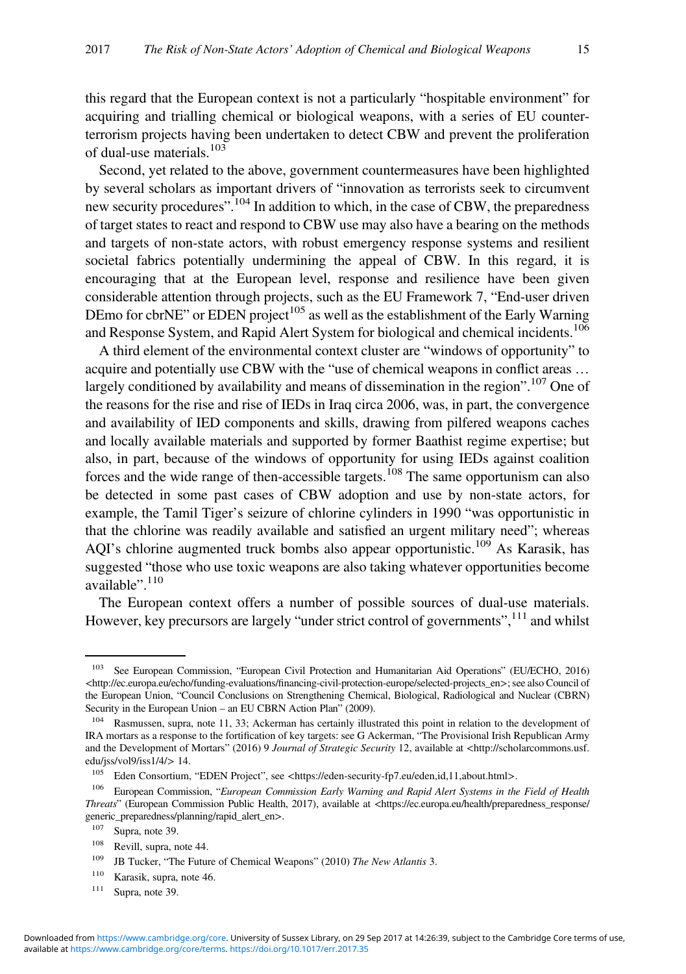this regard that the European context is not a particularly "hospitable environment" for acquiring and trialling chemical or biological weapons, with a series of EU counterterrorism projects having been undertaken to detect CBW and prevent the proliferation of dual-use materials.<sup>103</sup>

Second, yet related to the above, government countermeasures have been highlighted by several scholars as important drivers of "innovation as terrorists seek to circumvent new security procedures".<sup>104</sup> In addition to which, in the case of CBW, the preparedness of target states to react and respond to CBW use may also have a bearing on the methods and targets of non-state actors, with robust emergency response systems and resilient societal fabrics potentially undermining the appeal of CBW. In this regard, it is encouraging that at the European level, response and resilience have been given considerable attention through projects, such as the EU Framework 7, "End-user driven DEmo for cbrNE" or EDEN project<sup>105</sup> as well as the establishment of the Early Warning and Response System, and Rapid Alert System for biological and chemical incidents.<sup>106</sup>

A third element of the environmental context cluster are "windows of opportunity" to acquire and potentially use CBW with the "use of chemical weapons in conflict areas … largely conditioned by availability and means of dissemination in the region". <sup>107</sup> One of the reasons for the rise and rise of IEDs in Iraq circa 2006, was, in part, the convergence and availability of IED components and skills, drawing from pilfered weapons caches and locally available materials and supported by former Baathist regime expertise; but also, in part, because of the windows of opportunity for using IEDs against coalition forces and the wide range of then-accessible targets.<sup>108</sup> The same opportunism can also be detected in some past cases of CBW adoption and use by non-state actors, for example, the Tamil Tiger's seizure of chlorine cylinders in 1990 "was opportunistic in that the chlorine was readily available and satisfied an urgent military need"; whereas AQI's chlorine augmented truck bombs also appear opportunistic.<sup>109</sup> As Karasik, has suggested "those who use toxic weapons are also taking whatever opportunities become available". 110

The European context offers a number of possible sources of dual-use materials. However, key precursors are largely "under strict control of governments", <sup>111</sup> and whilst

<sup>103</sup> See European Commission, "European Civil Protection and Humanitarian Aid Operations" (EU/ECHO, 2016) <http://ec.europa.eu/echo/funding-evaluations/fi[nancing-civil-protection-europe/selected-projects\\_en](http://ec.europa.eu/echo/funding-evaluations/financing-civil-protection-europe/selected-projects_en)>; see also Council of the European Union, "Council Conclusions on Strengthening Chemical, Biological, Radiological and Nuclear (CBRN) Security in the European Union – an EU CBRN Action Plan" (2009).

<sup>104</sup> Rasmussen, supra, note 11, 33; Ackerman has certainly illustrated this point in relation to the development of IRA mortars as a response to the fortification of key targets: see G Ackerman, "The Provisional Irish Republican Army and the Development of Mortars" (2016) 9 Journal of Strategic Security 12, available at <[http://scholarcommons.usf.](http://scholarcommons.usf.edu/jss/vol9/iss1�/�4/) [edu/jss/vol9/iss1/4/](http://scholarcommons.usf.edu/jss/vol9/iss1�/�4/)> 14.

<sup>105</sup> Eden Consortium, "EDEN Project", see <<https://eden-security-fp7.eu/eden,id,11,about.html>>.<br>
106 European Commission, "European Commission, Early Warning and Rapid Alert Systems in the

<sup>106</sup> European Commission, "European Commission Early Warning and Rapid Alert Systems in the Field of Health Threats" (European Commission Public Health, 2017), available at <[https://ec.europa.eu/health/preparedness\\_response/](https://ec.europa.eu/health/preparedness_response/generic_preparedness/planning/rapid_alert_en) [generic\\_preparedness/planning/rapid\\_alert\\_en](https://ec.europa.eu/health/preparedness_response/generic_preparedness/planning/rapid_alert_en)>.

 $\frac{107}{108}$  Supra, note 39.

 $108$  Revill, supra, note 44.

<sup>&</sup>lt;sup>109</sup> JB Tucker, "The Future of Chemical Weapons" (2010) *The New Atlantis* 3.<br><sup>110</sup> Karasik suppo note 46

 $\frac{110}{111}$  Karasik, supra, note 46.

Supra, note 39.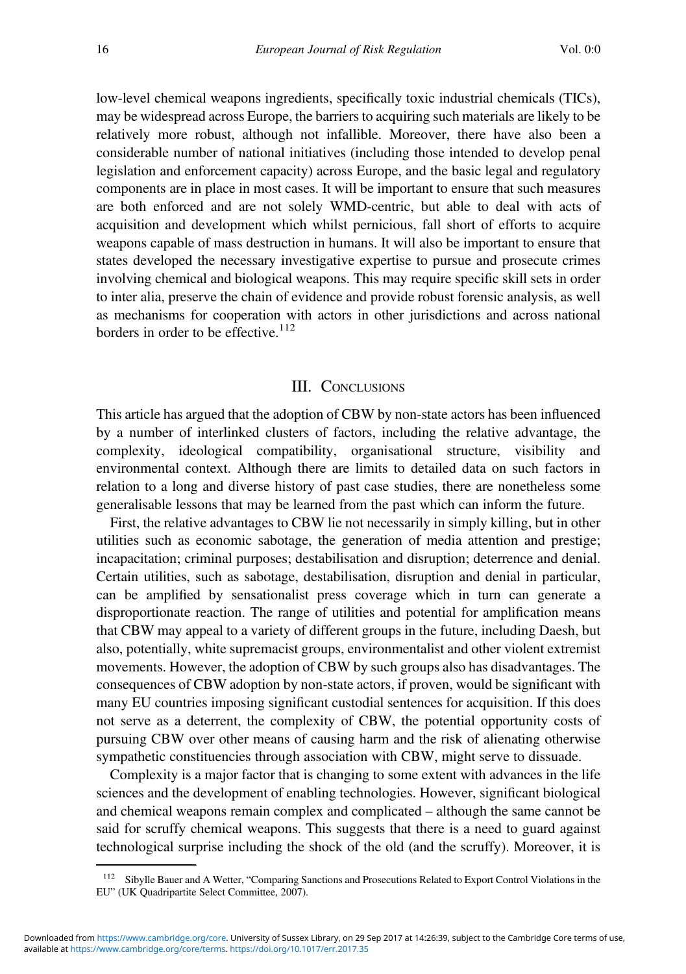low-level chemical weapons ingredients, specifically toxic industrial chemicals (TICs), may be widespread across Europe, the barriers to acquiring such materials are likely to be relatively more robust, although not infallible. Moreover, there have also been a considerable number of national initiatives (including those intended to develop penal legislation and enforcement capacity) across Europe, and the basic legal and regulatory components are in place in most cases. It will be important to ensure that such measures are both enforced and are not solely WMD-centric, but able to deal with acts of acquisition and development which whilst pernicious, fall short of efforts to acquire weapons capable of mass destruction in humans. It will also be important to ensure that states developed the necessary investigative expertise to pursue and prosecute crimes involving chemical and biological weapons. This may require specific skill sets in order to inter alia, preserve the chain of evidence and provide robust forensic analysis, as well as mechanisms for cooperation with actors in other jurisdictions and across national borders in order to be effective.<sup>112</sup>

### III. CONCLUSIONS

This article has argued that the adoption of CBW by non-state actors has been influenced by a number of interlinked clusters of factors, including the relative advantage, the complexity, ideological compatibility, organisational structure, visibility and environmental context. Although there are limits to detailed data on such factors in relation to a long and diverse history of past case studies, there are nonetheless some generalisable lessons that may be learned from the past which can inform the future.

First, the relative advantages to CBW lie not necessarily in simply killing, but in other utilities such as economic sabotage, the generation of media attention and prestige; incapacitation; criminal purposes; destabilisation and disruption; deterrence and denial. Certain utilities, such as sabotage, destabilisation, disruption and denial in particular, can be amplified by sensationalist press coverage which in turn can generate a disproportionate reaction. The range of utilities and potential for amplification means that CBW may appeal to a variety of different groups in the future, including Daesh, but also, potentially, white supremacist groups, environmentalist and other violent extremist movements. However, the adoption of CBW by such groups also has disadvantages. The consequences of CBW adoption by non-state actors, if proven, would be significant with many EU countries imposing significant custodial sentences for acquisition. If this does not serve as a deterrent, the complexity of CBW, the potential opportunity costs of pursuing CBW over other means of causing harm and the risk of alienating otherwise sympathetic constituencies through association with CBW, might serve to dissuade.

Complexity is a major factor that is changing to some extent with advances in the life sciences and the development of enabling technologies. However, significant biological and chemical weapons remain complex and complicated – although the same cannot be said for scruffy chemical weapons. This suggests that there is a need to guard against technological surprise including the shock of the old (and the scruffy). Moreover, it is

<sup>&</sup>lt;sup>112</sup> Sibylle Bauer and A Wetter, "Comparing Sanctions and Prosecutions Related to Export Control Violations in the EU" (UK Quadripartite Select Committee, 2007).